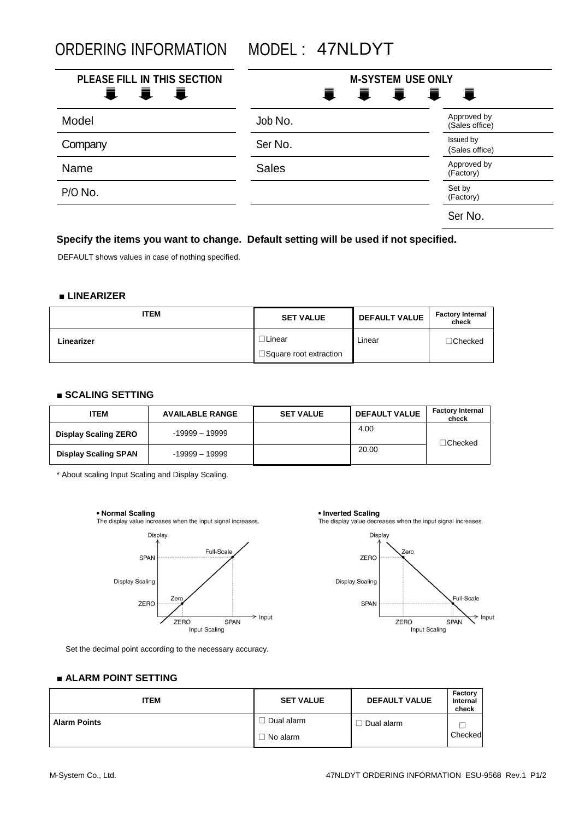ORDERING INFORMATION MODEL : 47NLDYT

| PLEASE FILL IN THIS SECTION<br><b>量 量</b><br>■ | <b>M-SYSTEM USE ONLY</b><br>E. | IIII                          |
|------------------------------------------------|--------------------------------|-------------------------------|
| Model                                          | Job No.                        | Approved by<br>(Sales office) |
| Company                                        | Ser No.                        | Issued by<br>(Sales office)   |
| Name                                           | <b>Sales</b>                   | Approved by<br>(Factory)      |
| P/O No.                                        |                                | Set by<br>(Factory)           |
|                                                |                                | Ser No.                       |

# **Specify the items you want to change. Default setting will be used if not specified.**

DEFAULT shows values in case of nothing specified.

### **■ LINEARIZER**

| ITEM       | <b>SET VALUE</b>                         | <b>DEFAULT VALUE</b> | <b>Factory Internal</b><br>check |
|------------|------------------------------------------|----------------------|----------------------------------|
| Linearizer | ∃Linear<br>$\Box$ Square root extraction | Linear               | $\Box$ Checked                   |

## **■ SCALING SETTING**

| ITEM                        | <b>AVAILABLE RANGE</b> | <b>SET VALUE</b> | <b>DEFAULT VALUE</b> | <b>Factory Internal</b><br>check |
|-----------------------------|------------------------|------------------|----------------------|----------------------------------|
| <b>Display Scaling ZERO</b> | $-19999 - 19999$       |                  | 4.00                 | ∃Checked                         |
| <b>Display Scaling SPAN</b> | $-19999 - 19999$       |                  | 20.00                |                                  |

\* About scaling Input Scaling and Display Scaling.



The display value increases when the input signal increases.



Set the decimal point according to the necessary accuracy.



 $\geq$  Input ZERO **SPAN** Input Scaling

#### **■ ALARM POINT SETTING**

| <b>ITEM</b>         | <b>SET VALUE</b> | <b>DEFAULT VALUE</b> | Factory<br>Internal<br>check |
|---------------------|------------------|----------------------|------------------------------|
| <b>Alarm Points</b> | Dual alarm       | Dual alarm           |                              |
|                     | $\Box$ No alarm  |                      | Checked                      |